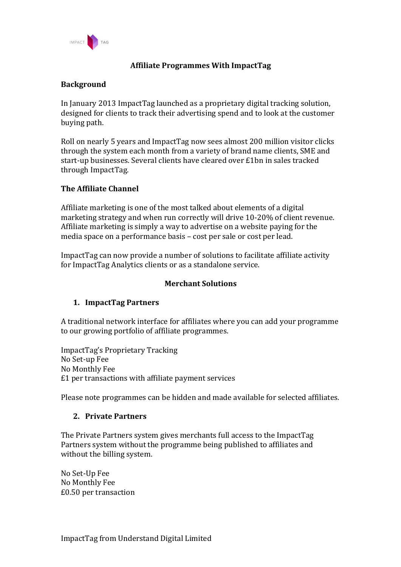

# **Affiliate Programmes With ImpactTag**

# **Background**

In January 2013 ImpactTag launched as a proprietary digital tracking solution, designed for clients to track their advertising spend and to look at the customer buying path. 

Roll on nearly 5 years and ImpactTag now sees almost 200 million visitor clicks through the system each month from a variety of brand name clients, SME and start-up businesses. Several clients have cleared over £1bn in sales tracked through ImpactTag.

### **The Affiliate Channel**

Affiliate marketing is one of the most talked about elements of a digital marketing strategy and when run correctly will drive 10-20% of client revenue. Affiliate marketing is simply a way to advertise on a website paying for the media space on a performance basis – cost per sale or cost per lead.

ImpactTag can now provide a number of solutions to facilitate affiliate activity for ImpactTag Analytics clients or as a standalone service.

### **Merchant Solutions**

### **1. ImpactTag Partners**

A traditional network interface for affiliates where you can add your programme to our growing portfolio of affiliate programmes.

ImpactTag's Proprietary Tracking No Set-up Fee No Monthly Fee  $£1$  per transactions with affiliate payment services

Please note programmes can be hidden and made available for selected affiliates.

### **2. Private Partners**

The Private Partners system gives merchants full access to the ImpactTag Partners system without the programme being published to affiliates and without the billing system.

No Set-Up Fee No Monthly Fee £0.50 per transaction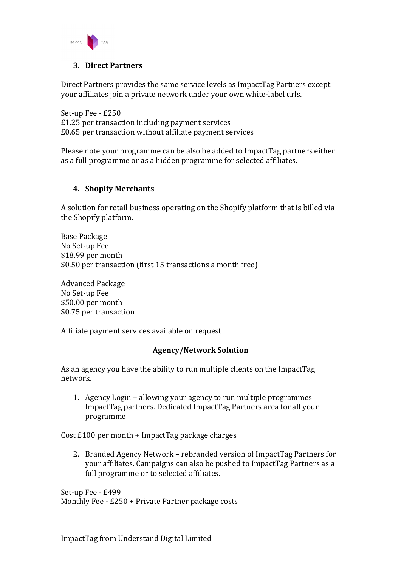

# **3. Direct Partners**

Direct Partners provides the same service levels as ImpactTag Partners except your affiliates join a private network under your own white-label urls.

Set-up Fee - £250  $£1.25$  per transaction including payment services  $£0.65$  per transaction without affiliate payment services

Please note your programme can be also be added to ImpactTag partners either as a full programme or as a hidden programme for selected affiliates.

## **4. Shopify Merchants**

A solution for retail business operating on the Shopify platform that is billed via the Shopify platform.

Base Package No Set-up Fee \$18.99 per month \$0.50 per transaction (first 15 transactions a month free)

Advanced Package No Set-up Fee \$50.00 per month \$0.75 per transaction

Affiliate payment services available on request

### **Agency/Network Solution**

As an agency you have the ability to run multiple clients on the ImpactTag network.

1. Agency Login – allowing your agency to run multiple programmes ImpactTag partners. Dedicated ImpactTag Partners area for all your programme

Cost  $£100$  per month + ImpactTag package charges

2. Branded Agency Network – rebranded version of ImpactTag Partners for your affiliates. Campaigns can also be pushed to ImpactTag Partners as a full programme or to selected affiliates.

Set-up Fee - £499 Monthly Fee  $- E250 + Private$  Partner package costs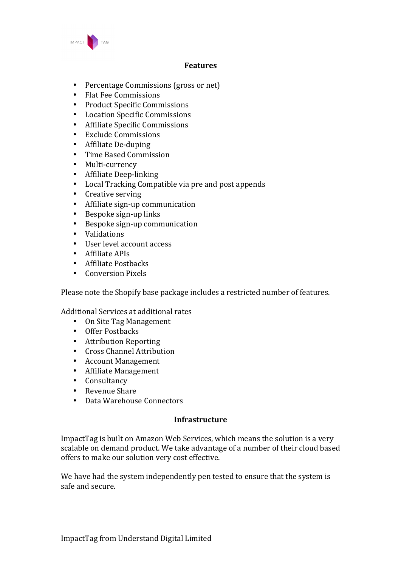

### **Features**

- Percentage Commissions (gross or net)
- Flat Fee Commissions
- Product Specific Commissions
- Location Specific Commissions
- Affiliate Specific Commissions
- Exclude Commissions
- Affiliate De-duping
- Time Based Commission
- Multi-currency
- Affiliate Deep-linking
- Local Tracking Compatible via pre and post appends
- Creative serving
- Affiliate sign-up communication
- Bespoke sign-up links
- Bespoke sign-up communication
- Validations
- User level account access
- Affiliate APIs
- Affiliate Postbacks
- Conversion Pixels

Please note the Shopify base package includes a restricted number of features.

Additional Services at additional rates

- On Site Tag Management
- Offer Postbacks
- Attribution Reporting
- Cross Channel Attribution
- Account Management
- Affiliate Management
- Consultancy
- Revenue Share
- Data Warehouse Connectors

### **Infrastructure**

ImpactTag is built on Amazon Web Services, which means the solution is a very scalable on demand product. We take advantage of a number of their cloud based offers to make our solution very cost effective.

We have had the system independently pen tested to ensure that the system is safe and secure.